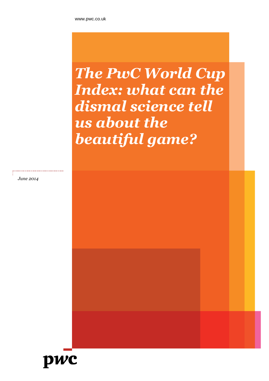# *The PwC World Cup Index: what can the dismal science tell us about the beautiful game?*

*June 2014*

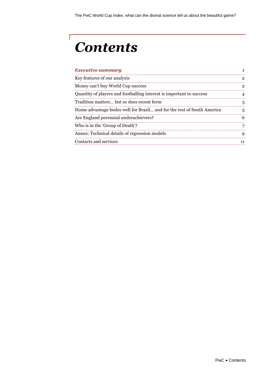# *Contents*

 $\Gamma$ 

| <b>Executive summary</b>                                               |  |
|------------------------------------------------------------------------|--|
| Key features of our analysis                                           |  |
| Money can't buy World Cup success                                      |  |
| Quantity of players and footballing interest is important to success   |  |
| Tradition matters but so does recent form                              |  |
| Home advantage bodes well for Brazil and for the rest of South America |  |
| Are England perennial underachievers?                                  |  |
| Who is in the 'Group of Death'?                                        |  |
| Annex: Technical details of regression models                          |  |
| Contacts and services                                                  |  |
|                                                                        |  |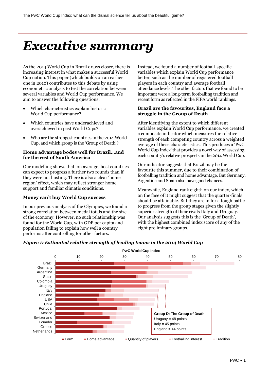## <span id="page-2-0"></span>*Executive summary*

As the 2014 World Cup in Brazil draws closer, there is increasing interest in what makes a successful World Cup nation. This paper (which builds on an earlier one in 2010) contributes to this debate by using econometric analysis to test the correlation between several variables and World Cup performance. We aim to answer the following questions:

- Which characteristics explain historic World Cup performance?
- Which countries have underachieved and overachieved in past World Cups?
- Who are the strongest countries in the 2014 World Cup, and which group is the 'Group of Death'?

### **Home advantage bodes well for Brazil…and for the rest of South America**

Our modelling shows that, on average, host countries can expect to progress a further two rounds than if they were not hosting. There is also a clear 'home region' effect, which may reflect stronger home support and familiar climatic conditions.

### **Money can't buy World Cup success**

In our previous analysis of the Olympics, we found a strong correlation between medal totals and the size of the economy. However, no such relationship was found for the World Cup, with GDP per capita and population failing to explain how well a country performs after controlling for other factors.

Instead, we found a number of football-specific variables which explain World Cup performance better, such as the number of registered football players in each country and average football attendance levels. The other factors that we found to be important were a long-term footballing tradition and recent form as reflected in the FIFA world rankings.

### **Brazil are the favourites, England face a struggle in the Group of Death**

After identifying the extent to which different variables explain World Cup performance, we created a composite indicator which measures the relative strength of each competing country across a weighted average of these characteristics. This produces a 'PwC World Cup Index' that provides a novel way of assessing each country's relative prospects in the 2014 World Cup.

Our indicator suggests that Brazil may be the favourite this summer, due to their combination of footballing tradition and home advantage. But Germany, Argentina and Spain also have good chances.

Meanwhile, England rank eighth on our index, which on the face of it might suggest that the quarter-finals should be attainable. But they are in for a tough battle to progress from the group stages given the slightly superior strength of their rivals Italy and Uruguay. Our analysis suggests this is the 'Group of Death', with the highest combined index score of any of the eight preliminary groups.



### *Figure 1: Estimated relative strength of leading teams in the 2014 World Cup*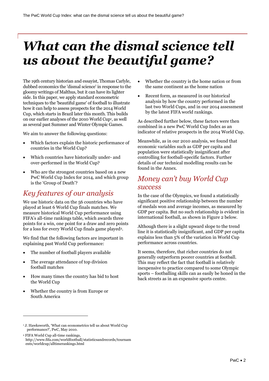# *What can the dismal science tell us about the beautiful game?*

The 19th century historian and essayist, Thomas Carlyle, dubbed economics the 'dismal science' in response to the gloomy writings of Malthus, but it can have its lighter side. In this paper, we apply standard econometric techniques to the 'beautiful game' of football to illustrate how it can help to assess prospects for the 2014 World Cup, which starts in Brazil later this month. This builds on our earlier analyses of the 2010 World Cup<sup>1</sup> , as well as several past Summer and Winter Olympic Games.

We aim to answer the following questions:

- Which factors explain the historic performance of countries in the World Cup?
- Which countries have historically under- and over-performed in the World Cup?
- Who are the strongest countries based on a new PwC World Cup Index for 2014, and which group is the 'Group of Death'?

### <span id="page-3-0"></span>*Key features of our analysis*

We use historic data on the 56 countries who have played at least 6 World Cup finals matches. We measure historical World Cup performance using FIFA's all-time rankings table, which awards three points for a win, one point for a draw and zero points for a loss for every World Cup finals game played<sup>2</sup>.

We find that the following factors are important in explaining past World Cup performance:

- The number of football players available
- The average attendance of top division football matches
- How many times the country has bid to host the World Cup
- Whether the country is from Europe or South America

-

- Whether the country is the home nation or from the same continent as the home nation
- Recent form, as measured in our historical analysis by how the country performed in the last two World Cups, and in our 2014 assessment by the latest FIFA world rankings.

As described further below, these factors were then combined in a new PwC World Cup Index as an indicator of relative prospects in the 2014 World Cup.

Meanwhile, as in our 2010 analysis, we found that economic variables such as GDP per capita and population were statistically insignificant after controlling for football-specific factors. Further details of our technical modelling results can be found in the Annex.

### <span id="page-3-1"></span>*Money can't buy World Cup success*

In the case of the Olympics, we found a statistically significant positive relationship between the number of medals won and average incomes, as measured by GDP per capita. But no such relationship is evident in international football, as shown in Figure 2 below.

Although there is a slight upward slope to the trend line it is statistically insignificant, and GDP per capita explains less than 5% of the variation in World Cup performance across countries.

It seems, therefore, that richer countries do not generally outperform poorer countries at football. This may reflect the fact that football is relatively inexpensive to practice compared to some Olympic sports – footballing skills can as easily be honed in the back streets as in an expensive sports centre.

<sup>2</sup> FIFA World Cup all-time rankings, http://www.fifa.com/worldfootball/statisticsandrecords/tournam ents/worldcup/alltimerankings.html

<sup>1</sup> J. Hawksworth, 'What can econometrics tell us about World Cup performance?', PwC, May 2010.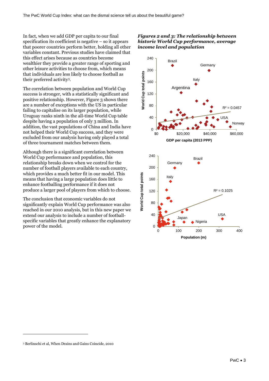In fact, when we add GDP per capita to our final specification its coefficient is negative – so it appears that poorer countries perform better, holding all other variables constant. Previous studies have claimed that this effect arises because as countries become wealthier they provide a greater range of sporting and other leisure activities to choose from, which means that individuals are less likely to choose football as their preferred activity3.

The correlation between population and World Cup success is stronger, with a statistically significant and positive relationship. However, Figure 3 shows there are a number of exceptions with the US in particular failing to capitalise on its larger population, while Uruguay ranks ninth in the all-time World Cup table despite having a population of only 3 million. In addition, the vast populations of China and India have not helped their World Cup success, and they were excluded from our analysis having only played a total of three tournament matches between them.

Although there is a significant correlation between World Cup performance and population, this relationship breaks down when we control for the number of football players available to each country, which provides a much better fit in our model. This means that having a large population does little to enhance footballing performance if it does not produce a larger pool of players from which to choose.

The conclusion that economic variables do not significantly explain World Cup performance was also reached in our 2010 analysis, but in this new paper we extend our analysis to include a number of footballspecific variables that greatly enhance the explanatory power of the model.

### *Figures 2 and 3: The relationship between historic World Cup performance, average income level and population*



-

<sup>3</sup> Berlinschi et al, When Drains and Gains Coincide, 2010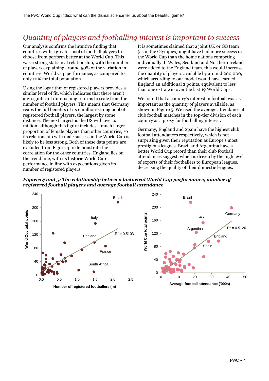## <span id="page-5-0"></span>*Quantity of players and footballing interest is important to success*

Our analysis confirms the intuitive finding that countries with a greater pool of football players to choose from perform better at the World Cup. This was a strong statistical relationship, with the number of players explaining around 50% of the variation in countries' World Cup performance, as compared to only 10% for total population.

Using the logarithm of registered players provides a similar level of fit, which indicates that there aren't any significant diminishing returns to scale from the number of football players. This means that Germany reaps the full benefits of its 6 million-strong pool of registered football players, the largest by some distance. The next largest is the US with over 4 million, although this figure includes a much larger proportion of female players than other countries, so its relationship with male success in the World Cup is likely to be less strong. Both of these data points are excluded from Figure 4 to demonstrate the correlation for the other countries. England lies on the trend line, with its historic World Cup performance in line with expectations given its number of registered players.

It is sometimes claimed that a joint UK or GB team (as in the Olympics) might have had more success in the World Cup than the home nations competing individually. If Wales, Scotland and Northern Ireland were added to the England team, this would increase the quantity of players available by around 200,000, which according to our model would have earned England an additional 2 points, equivalent to less than one extra win over the last 19 World Cups.

We found that a country's interest in football was as important as the quantity of players available, as shown in Figure 5. We used the average attendance at club football matches in the top-tier division of each country as a proxy for footballing interest.

Germany, England and Spain have the highest club football attendances respectively, which is not surprising given their reputation as Europe's most prestigious leagues. Brazil and Argentina have a better World Cup record than their club football attendances suggest, which is driven by the high level of exports of their footballers to European leagues, decreasing the quality of their domestic leagues.



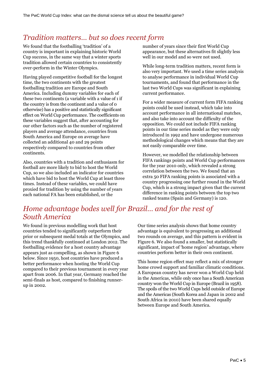### <span id="page-6-0"></span>*Tradition matters… but so does recent form*

We found that the footballing 'tradition' of a country is important in explaining historic World Cup success, in the same way that a winter sports tradition allowed certain countries to consistently over-perform in the Winter Olympics.

Having played competitive football for the longest time, the two continents with the greatest footballing tradition are Europe and South America. Including dummy variables for each of these two continents (a variable with a value of 1 if the country is from the continent and a value of 0 otherwise) has a positive and statistically significant effect on World Cup performance. The coefficients on these variables suggest that, after accounting for our other factors such as the number of registered players and average attendance, countries from South America and Europe on average have collected an additional 40 and 29 points respectively compared to countries from other continents.

Also, countries with a tradition and enthusiasm for football are more likely to bid to host the World Cup, so we also included an indicator for countries which have bid to host the World Cup at least three times. Instead of these variables, we could have proxied for tradition by using the number of years each national FA has been established, or the

number of years since their first World Cup appearance, but these alternatives fit slightly less well in our model and so were not used.

While long-term tradition matters, recent form is also very important. We used a time series analysis to analyse performance in individual World Cup tournaments, and found that performance in the last two World Cups was significant in explaining current performance.

For a wider measure of current form FIFA ranking points could be used instead, which take into account performance in all international matches, and also take into account the difficulty of the opposition. We could not include FIFA ranking points in our time series model as they were only introduced in 1992 and have undergone numerous methodological changes which means that they are not easily comparable over time.

However, we modelled the relationship between FIFA rankings points and World Cup performances for the year 2010 only, which revealed a strong correlation between the two. We found that an extra 50 FIFA ranking points is associated with a country progressing one further round in the World Cup, which is a strong impact given that the current difference in ranking points between the top two ranked teams (Spain and Germany) is 120.

### *Home advantage bodes well for Brazil… and for the rest of South America*

We found in previous modelling work that host countries tended to significantly outperform their prior or subsequent medal totals at the Olympics, and this trend thankfully continued at London 2012. The footballing evidence for a host country advantage appears just as compelling, as shown in Figure 6 below. Since 1950, host countries have produced a better performance when hosting the World Cup compared to their previous tournament in every year apart from 2006. In that year, Germany reached the semi-finals as host, compared to finishing runnerup in 2002.

Our time series analysis shows that home country advantage is equivalent to progressing an additional two rounds on average, and this pattern is evident in Figure 6. We also found a smaller, but statistically significant, impact of 'home region' advantage, where countries perform better in their own continent.

This home region effect may reflect a mix of stronger home crowd support and familiar climatic conditions. A European country has never won a World Cup held in the Americas, while only once has a South American country won the World Cup in Europe (Brazil in 1958). The spoils of the two World Cups held outside of Europe and the Americas (South Korea and Japan in 2002 and South Africa in 2010) have been shared equally between Europe and South America.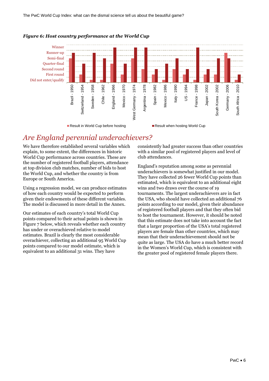

### *Figure 6: Host country performance at the World Cup*

### <span id="page-7-0"></span>*Are England perennial underachievers?*

We have therefore established several variables which explain, to some extent, the differences in historic World Cup performance across countries. These are the number of registered football players, attendance at top division club matches, number of bids to host the World Cup, and whether the country is from Europe or South America.

Using a regression model, we can produce estimates of how each country would be expected to perform given their endowments of these different variables. The model is discussed in more detail in the Annex.

Our estimates of each country's total World Cup points compared to their actual points is shown in Figure 7 below, which reveals whether each country has under or overachieved relative to model estimates. Brazil is clearly the most considerable overachiever, collecting an additional 95 World Cup points compared to our model estimate, which is equivalent to an additional 31 wins. They have

consistently had greater success than other countries with a similar pool of registered players and level of club attendances.

England's reputation among some as perennial underachievers is somewhat justified in our model. They have collected 26 fewer World Cup points than estimated, which is equivalent to an additional eight wins and two draws over the course of 19 tournaments. The largest underachievers are in fact the USA, who should have collected an additional 76 points according to our model, given their abundance of registered football players and that they often bid to host the tournament. However, it should be noted that this estimate does not take into account the fact that a larger proportion of the USA's total registered players are female than other countries, which may mean that their underachievement should not be quite as large. The USA do have a much better record in the Women's World Cup, which is consistent with the greater pool of registered female players there.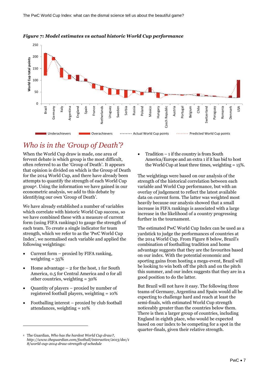

#### *Figure 7: Model estimates vs actual historic World Cup performance*

## <span id="page-8-0"></span>*Who is in the 'Group of Death'?*

When the World Cup draw is made, one area of fervent debate is which group is the most difficult, often referred to as the 'Group of Death'. It appears that opinion is divided on which is the Group of Death for the 2014 World Cup, and there have already been attempts to quantify the strength of each World Cup group4. Using the information we have gained in our econometric analysis, we add to this debate by identifying our own 'Group of Death'.

We have already established a number of variables which correlate with historic World Cup success, so we have combined these with a measure of current form (using FIFA rankings) to gauge the strength of each team. To create a single indicator for team strength, which we refer to as the 'PwC World Cup Index', we normalised each variable and applied the following weightings:

- Current form proxied by FIFA ranking, weighting  $= 35\%$
- Home advantage 2 for the host, 1 for South America, 0.5 for Central America and 0 for all other countries, weighting = 30%
- Quantity of players proxied by number of registered football players, weighting = 10%
- Footballing interest proxied by club football attendances, weighting = 10%

-

 Tradition – 1 if the country is from South America/Europe and an extra 1 if it has bid to host the World Cup at least three times, weighting = 15%.

The weightings were based on our analysis of the strength of the historical correlation between each variable and World Cup performance, but with an overlay of judgement to reflect the latest available data on current form. The latter was weighted most heavily because our analysis showed that a small increase in FIFA rankings is associated with a large increase in the likelihood of a country progressing further in the tournament.

The estimated PwC World Cup Index can be used as a yardstick to judge the performances of countries at the 2014 World Cup. From Figure 8 below, Brazil's combination of footballing tradition and home advantage suggests that they are the favourites based on our index. With the potential economic and sporting gains from hosting a mega-event, Brazil will be looking to win both off the pitch and on the pitch this summer, and our index suggests that they are in a good position to do the latter.

But Brazil will not have it easy. The following three teams of Germany, Argentina and Spain would all be expecting to challenge hard and reach at least the semi-finals, with estimated World Cup strength noticeably greater than the countries below them. There is then a larger group of countries, including England in eighth place, who would be expected based on our index to be competing for a spot in the quarter-finals, given their relative strength.

<sup>4</sup> The Guardian, *Who has the hardest World Cup draw?, http://www.theguardian.com/football/interactive/2013/dec/1 8/world-cup-2014-draw-strength-of-schedule*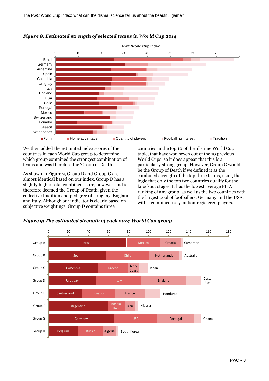

### *Figure 8: Estimated strength of selected teams in World Cup 2014*

We then added the estimated index scores of the countries in each World Cup group to determine which group contained the strongest combination of teams and was therefore the 'Group of Death'.

As shown in Figure 9, Group D and Group G are almost identical based on our index. Group D has a slightly higher total combined score, however, and is therefore deemed the Group of Death, given the collective tradition and pedigree of Uruguay, England and Italy. Although our indicator is clearly based on subjective weightings, Group D contains three

countries in the top 10 of the all-time World Cup table, that have won seven out of the 19 previous World Cups, so it does appear that this is a particularly strong group. However, Group G would be the Group of Death if we defined it as the combined strength of the top three teams, using the logic that only the top two countries qualify for the knockout stages. It has the lowest average FIFA ranking of any group, as well as the two countries with the largest pool of footballers, Germany and the USA, with a combined 10.5 million registered players.



### *Figure 9: The estimated strength of each 2014 World Cup group*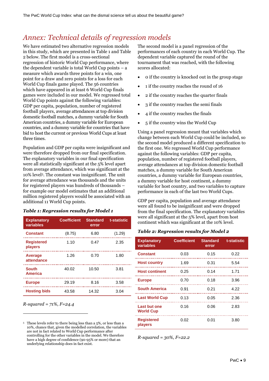### <span id="page-10-0"></span>*Annex: Technical details of regression models*

We have estimated two alternative regression models in this study, which are presented in Table 1 and Table 2 below. The first model is a cross-sectional regression of historic World Cup performance, where the dependent variable is total World Cup points – a measure which awards three points for a win, one point for a draw and zero points for a loss for each World Cup finals game played. The 56 countries which have appeared in at least 6 World Cup finals games were included in our model. We regressed total World Cup points against the following variables: GDP per capita, population, number of registered football players, average attendances at top division domestic football matches, a dummy variable for South American countries, a dummy variable for European countries, and a dummy variable for countries that have bid to host the current or previous World Cups at least three times.

Population and GDP per capita were insignificant and were therefore dropped from our final specification. The explanatory variables in our final specification were all statistically significant at the 5% level apart from average attendance, which was significant at the 10% level5. The constant was insignificant. The unit for average attendance was thousands and the units for registered players was hundreds of thousands – for example our model estimates that an additional million registered players would be associated with an additional 11 World Cup points.

### *Table 1: Regression results for Model 1*

| <b>Explanatory</b><br>variables | <b>Coefficient</b> | <b>Standard</b><br>error | t-statistic |
|---------------------------------|--------------------|--------------------------|-------------|
| <b>Constant</b>                 | (8.75)             | 6.80                     | (1.29)      |
| <b>Registered</b><br>players    | 1.10               | 0.47                     | 2.35        |
| <b>Average</b><br>attendance    | 1.26               | 0.70                     | 1.80        |
| <b>South</b><br><b>America</b>  | 40.02              | 10.50                    | 3.81        |
| <b>Europe</b>                   | 29.19              | 8.16                     | 3.58        |
| <b>Hosting bids</b>             | 43.58              | 14.32                    | 3.04        |

*R-squared = 71%, F=24.4*

-

The second model is a panel regression of the performances of each country in each World Cup. The dependent variable captured the round of the tournament that was reached, with the following scores allocated:

- 0 if the country is knocked out in the group stage
- 1 if the country reaches the round of 16
- 2 if the country reaches the quarter finals
- 3 if the country reaches the semi finals
- 4 if the country reaches the finals
- 5 if the country wins the World Cup

Using a panel regression meant that variables which change between each World Cup could be included, so the second model produced a different specification to the first one. We regressed World Cup performance against the following variables: GDP per capita, population, number of registered football players, average attendances at top division domestic football matches, a dummy variable for South American countries, a dummy variable for European countries, a dummy variable for host continent, a dummy variable for host country, and two variables to capture performance in each of the last two World Cups.

GDP per capita, population and average attendance were all found to be insignificant and were dropped from the final specification. The explanatory variables were all significant at the 5% level, apart from host continent which was significant at the 10% level.

#### *Table 2: Regression results for Model 2*

| <b>Explanatory</b><br>variables         | <b>Coefficient</b> | <b>Standard</b><br>error | t-statistic |
|-----------------------------------------|--------------------|--------------------------|-------------|
| <b>Constant</b>                         | 0.03               | 0.15                     | 0.22        |
| <b>Host country</b>                     | 1.69               | 0.31                     | 5.54        |
| <b>Host continent</b>                   | 0.25               | 0.14                     | 1.71        |
| <b>Europe</b>                           | 0.70               | 0.18                     | 3.96        |
| <b>South America</b>                    | 0.91               | 0.21                     | 4.22        |
| <b>Last World Cup</b>                   | 0.13               | 0.05                     | 2.36        |
| <b>Last but one</b><br><b>World Cup</b> | 0.16               | 0.06                     | 2.83        |
| <b>Registered</b><br>players            | 0.02               | 0.01                     | 3.80        |

*R-squared = 30%, F=22.2*

<sup>5</sup> These levels refer to there being less than a 5%, or less than a 10%, chance that, given the modelled correlation, the variables are not in fact related to World Cup performance after controlling for the other variables in the model. We therefore have a high degree of confidence (90-95% or more) that an underlying relationship does in fact exist.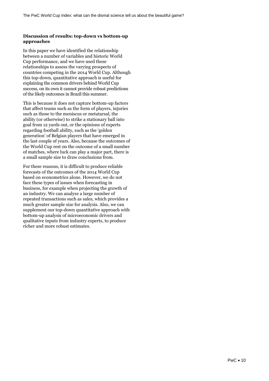### **Discussion of results: top-down vs bottom-up approaches**

In this paper we have identified the relationship between a number of variables and historic World Cup performance, and we have used these relationships to assess the varying prospects of countries competing in the 2014 World Cup. Although this top-down, quantitative approach is useful for explaining the common drivers behind World Cup success, on its own it cannot provide robust predictions of the likely outcomes in Brazil this summer.

This is because it does not capture bottom-up factors that affect teams such as the form of players, injuries such as those to the meniscus or metatarsal, the ability (or otherwise) to strike a stationary ball into goal from 12 yards out, or the opinions of experts regarding football ability, such as the 'golden generation' of Belgian players that have emerged in the last couple of years. Also, because the outcomes of the World Cup rest on the outcome of a small number of matches, where luck can play a major part, there is a small sample size to draw conclusions from.

For these reasons, it is difficult to produce reliable forecasts of the outcomes of the 2014 World Cup based on econometrics alone. However, we do not face these types of issues when forecasting in business, for example when projecting the growth of an industry. We can analyse a large number of repeated transactions such as sales, which provides a much greater sample size for analysis. Also, we can supplement our top-down quantitative approach with bottom-up analysis of microeconomic drivers and qualitative inputs from industry experts, to produce richer and more robust estimates.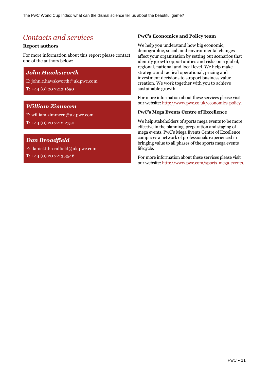## <span id="page-12-0"></span>*Contacts and services*

### **Report authors**

For more information about this report please contact one of the authors below:

### *John Hawksworth*

E: john.c.hawskworth@uk.pwc.com

T: +44 (0) 20 7213 1650

### *William Zimmern*

E: william.zimmern@uk.pwc.com T: +44 (0) 20 7212 2750

### *Dan Broadfield*

E: daniel.t.broadfield@uk.pwc.com T: +44 (0) 20 7213 3546

### **PwC's Economics and Policy team**

We help you understand how big economic, demographic, social, and environmental changes affect your organisation by setting out scenarios that identify growth opportunities and risks on a global, regional, national and local level. We help make strategic and tactical operational, pricing and investment decisions to support business value creation. We work together with you to achieve sustainable growth.

For more information about these services please visit our website[: http://www.pwc.co.uk/economics-policy.](http://www.pwc.co.uk/economics-policy)

### **PwC's Mega Events Centre of Excellence**

We help stakeholders of sports mega events to be more effective in the planning, preparation and staging of mega events. PwC's Mega Events Centre of Excellence comprises a network of professionals experienced in bringing value to all phases of the sports mega events lifecycle.

For more information about these services please visit our website[: http://www.pwc.com/sports-mega-events.](http://www.pwc.com/sports-mega-events)